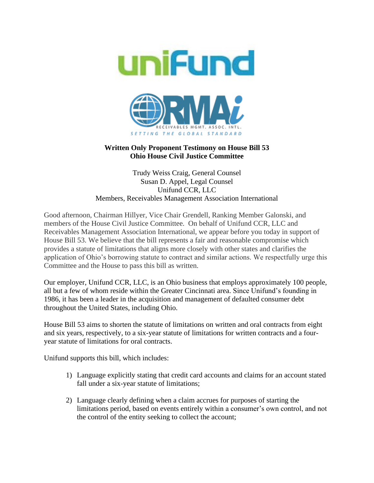

## **Written Only Proponent Testimony on House Bill 53 Ohio House Civil Justice Committee**

## Trudy Weiss Craig, General Counsel Susan D. Appel, Legal Counsel Unifund CCR, LLC Members, Receivables Management Association International

Good afternoon, Chairman Hillyer, Vice Chair Grendell, Ranking Member Galonski, and members of the House Civil Justice Committee. On behalf of Unifund CCR, LLC and Receivables Management Association International, we appear before you today in support of House Bill 53. We believe that the bill represents a fair and reasonable compromise which provides a statute of limitations that aligns more closely with other states and clarifies the application of Ohio's borrowing statute to contract and similar actions. We respectfully urge this Committee and the House to pass this bill as written.

Our employer, Unifund CCR, LLC, is an Ohio business that employs approximately 100 people, all but a few of whom reside within the Greater Cincinnati area. Since Unifund's founding in 1986, it has been a leader in the acquisition and management of defaulted consumer debt throughout the United States, including Ohio.

House Bill 53 aims to shorten the statute of limitations on written and oral contracts from eight and six years, respectively, to a six-year statute of limitations for written contracts and a fouryear statute of limitations for oral contracts.

Unifund supports this bill, which includes:

- 1) Language explicitly stating that credit card accounts and claims for an account stated fall under a six-year statute of limitations;
- 2) Language clearly defining when a claim accrues for purposes of starting the limitations period, based on events entirely within a consumer's own control, and not the control of the entity seeking to collect the account;